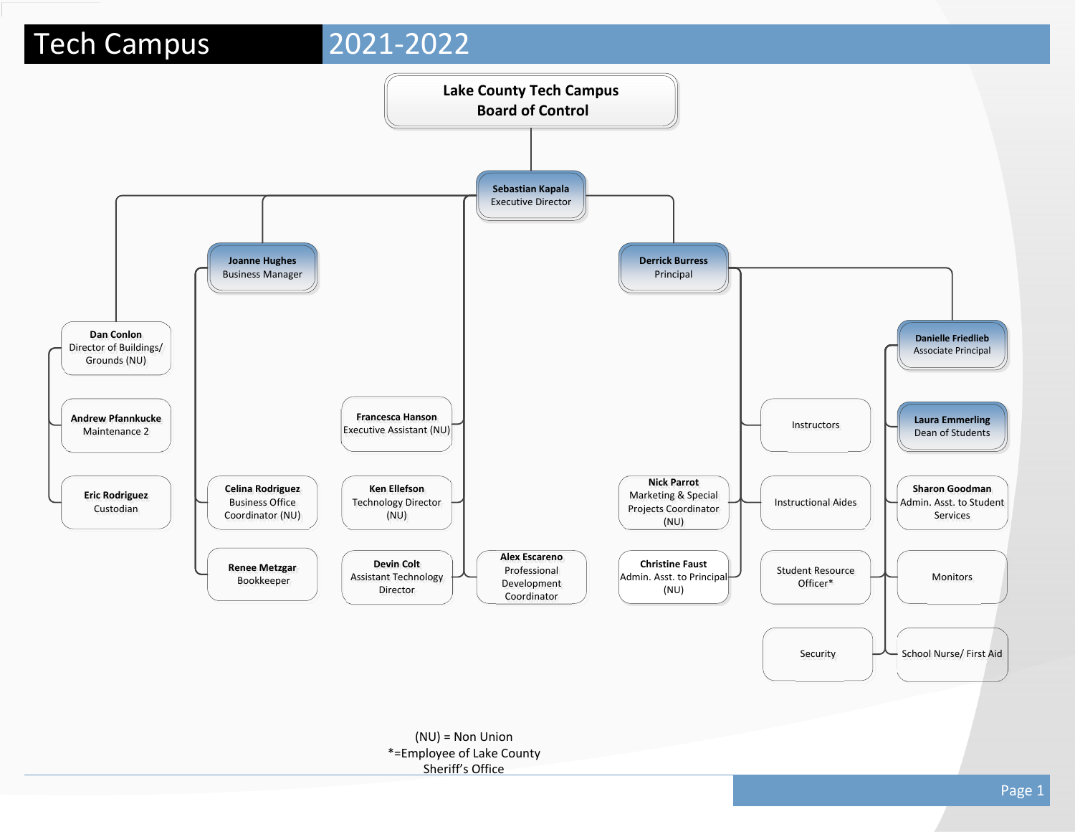